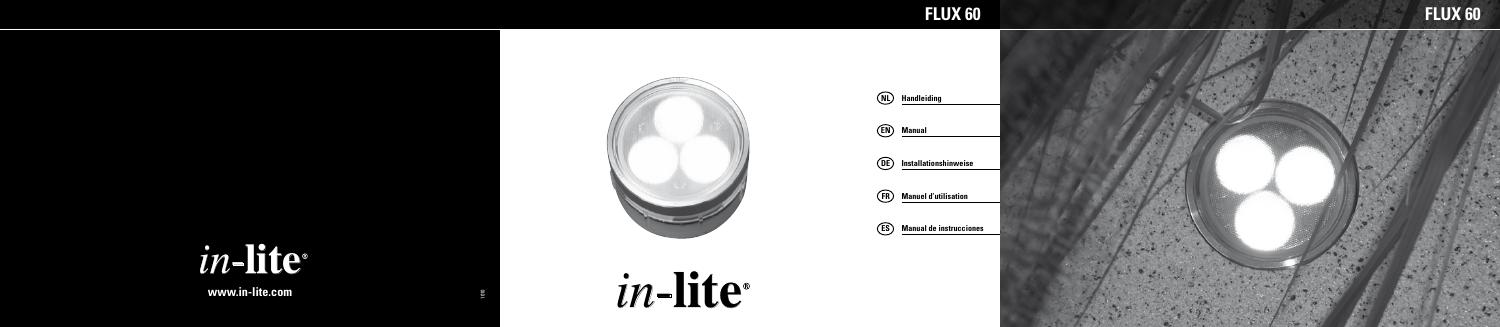# *in* -**lite**

**www.in-lite.com**





1010

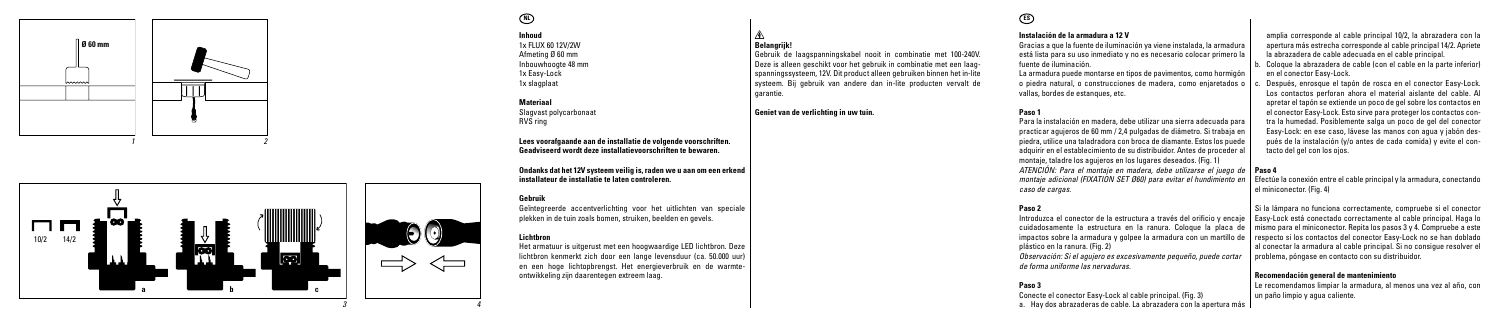



## **NL**

**Inhoud** 1x FLUX 60 12V/2W Afmeting Ø 60 mm Inbouwhoogte 48 mm 1x Easy-Lock 1x slagplaat

#### **Materiaal**

Slagvast polycarbonaat RVS ring

**Lees voorafgaande aan de installatie de volgende voorschriften. Geadviseerd wordt deze installatievoorschriften te bewaren.**

**Ondanks dat het 12V systeem veilig is, raden we u aan om een erkend installateur de installatie te laten controleren.**

**Belangrijk!**

garantie.

**Geniet van de verlichting in uw tuin.**

Gebruik de laagspanningskabel nooit in combinatie met 100-240V. Deze is alleen geschikt voor het gebruik in combinatie met een laag spanningssysteem, 12V. Dit product alleen gebruiken binnen het in-lite systeem. Bij gebruik van andere dan in-lite producten vervalt de

#### **Gebruik**

*4*

 $\leftharpoonup$ 

Geïntegreerde accentverlichting voor het uitlichten van speciale plekken in de tuin zoals bomen, struiken, beelden en gevels.

#### **Lichtbron**

Het armatuur is uitgerust met een hoogwaardige LED lichtbron. Deze lichtbron kenmerkt zich door een lange levensduur (ca. 50.000 uur) en een hoge lichtopbrengst. Het energieverbruik en de warmte ontwikkeling zijn daarentegen extreem laag.

# **ES**

#### **Instalación de la armadura a 12 V**

Gracias a que la fuente de iluminación ya viene instalada, la armadura está lista para su uso inmediato y no es necesario colocar primero la fuente de iluminación.

La armadura puede montarse en tipos de pavimentos, como hormigón o piedra natural, o construcciones de madera, como enjaretados o vallas, bordes de estanques, etc.

### **Paso 1**

Para la instalación en madera, debe utilizar una sierra adecuada para practicar agujeros de 60 mm / 2,4 pulgadas de diámetro. Si trabaja en piedra, utilice una taladradora con broca de diamante. Estos los puede adquirir en el establecimiento de su distribuidor. Antes de proceder al montaje, taladre los agujeros en los lugares deseados. (Fig. 1) *ATENCIÓN: Para el montaje en madera, debe utilizarse el juego de*  **Paso 4** *montaje adicional (FIXATION SET Ø60) para evitar el hundimiento en caso de cargas.*

#### **Paso 2**

Introduzca el conector de la estructura a través del orificio y encaje impactos sobre la armadura y golpee la armadura con un martillo de plástico en la ranura. (Fig. 2) *Observación: Si el agujero es excesivamente pequeño, puede cortar de forma uniforme las nervaduras.*

#### **Paso 3**

Conecte el conector Easy-Lock al cable principal. (Fig. 3) a. Hay dos abrazaderas de cable. La abrazadera con la apertura más

amplia corresponde al cable principal 10/2, la abrazadera con la apertura más estrecha corresponde al cable principal 14/2. Apriete la abrazadera de cable adecuada en el cable principal. b. Coloque la abrazadera de cable (con el cable en la parte inferior)

en el conector Easy-Lock. Después, enrosque el tapón de rosca en el conector Easy-Lock. Los contactos perforan ahora el material aislante del cable. Al apretar el tapón se extiende un poco de gel sobre los contactos en el conector Easy-Lock. Esto sirve para proteger los contactos con tra la humedad. Posiblemente salga un poco de gel del conector Easy-Lock: en ese caso, lávese las manos con agua y jabón des pués de la instalación (y/o antes de cada comida) y evite el con -

tacto del gel con los ojos.

Efectúe la conexión entre el cable principal y la armadura, conectando el miniconector. (Fig. 4)

cuidadosamente la estructura en la ranura. Coloque la placa de | mismo para el miniconector. Repita los pasos 3 y 4. Compruebe a este Si la lámpara no funciona correctamente, compruebe si el conector Easy-Lock está conectado correctamente al cable principal. Haga lo respecto si los contactos del conector Easy-Lock no se han doblado al conectar la armadura al cable principal. Si no consigue resolver el problema, póngase en contacto con su distribuidor.

#### **Recomendación general de mantenimiento**

Le recomendamos limpiar la armadura, al menos una vez al año, con un paño limpio y agua caliente.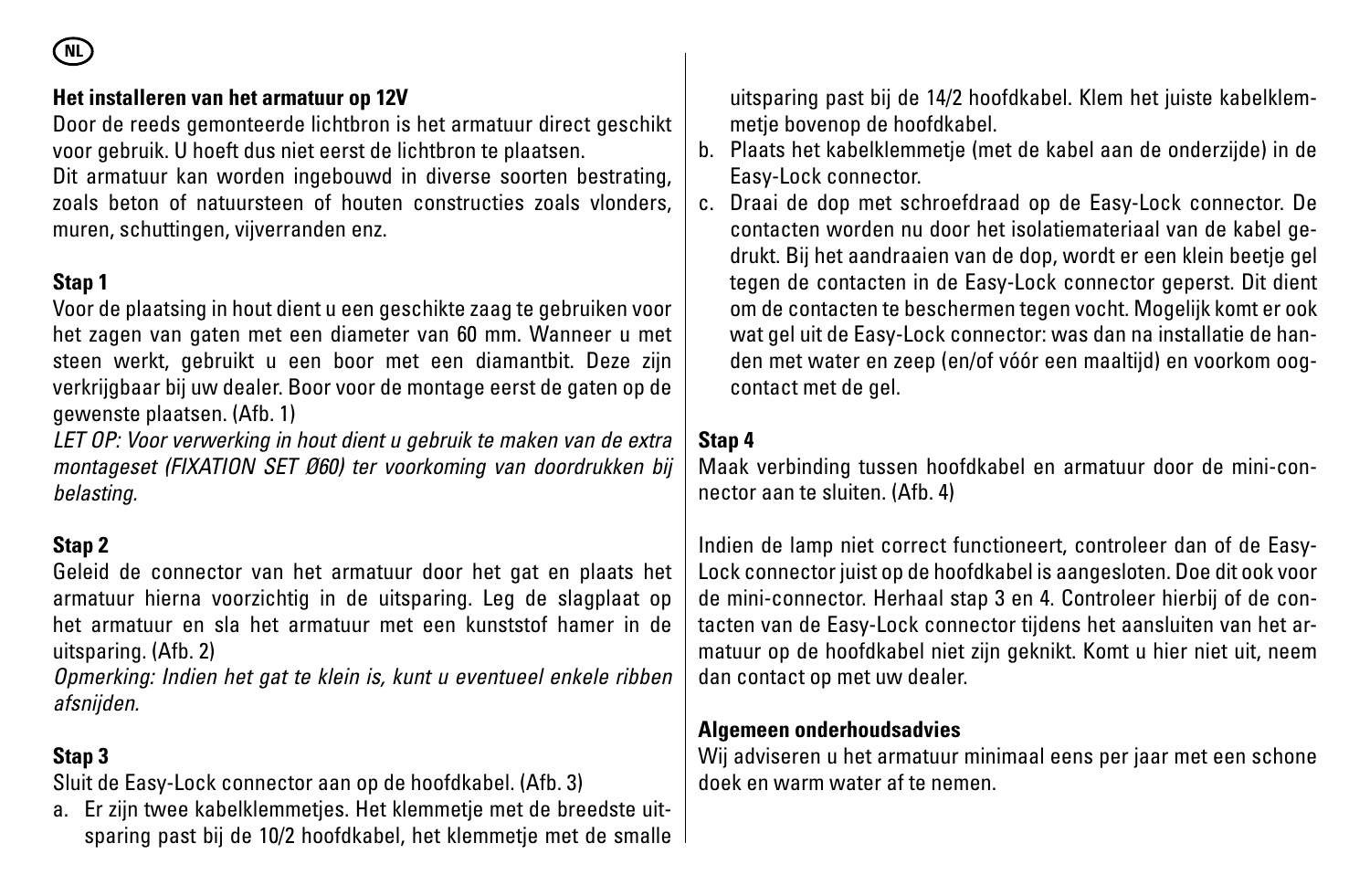**NL**

#### **Het installeren van het armatuur op 12V**

Door de reeds gemonteerde lichtbron is het armatuur direct geschikt voor gebruik. U hoeft dus niet eerst de lichtbron te plaatsen.

Dit armatuur kan worden ingebouwd in diverse soorten bestrating, zoals beton of natuursteen of houten constructies zoals vlonders, muren, schuttingen, vijverranden enz.

#### **Stap 1**

Voor de plaatsing in hout dient u een geschikte zaag te gebruiken voor het zagen van gaten met een diameter van 60 mm. Wanneer u met steen werkt, gebruikt u een boor met een diamantbit. Deze zijn verkrijgbaar bij uw dealer. Boor voor de montage eerst de gaten op de gewenste plaatsen. (Afb. 1)

*LET OP: Voor verwerking in hout dient u gebruik te maken van de extra montageset (FIXATION SET Ø60) ter voorkoming van doordrukken bij belasting.*

#### **Stap 2**

Geleid de connector van het armatuur door het gat en plaats het armatuur hierna voorzichtig in de uitsparing. Leg de slagplaat op het armatuur en sla het armatuur met een kunststof hamer in de uitsparing. (Afb. 2)

*Opmerking: Indien het gat te klein is, kunt u eventueel enkele ribben afsnijden.*

#### **Stap 3**

Sluit de Easy-Lock connector aan op de hoofdkabel. (Afb. 3)

a. Er zijn twee kabelklemmetjes. Het klemmetje met de breedste uitsparing past bij de 10/2 hoofdkabel, het klemmetje met de smalle uitsparing past bij de 14/2 hoofdkabel. Klem het juiste kabelklemmetje bovenop de hoofdkabel.

- b. Plaats het kabelklemmetje (met de kabel aan de onderzijde) in de Easy-Lock connector.
- c. Draai de dop met schroefdraad op de Easy-Lock connector. De contacten worden nu door het isolatiemateriaal van de kabel gedrukt. Bij het aandraaien van de dop, wordt er een klein beetje gel tegen de contacten in de Easy-Lock connector geperst. Dit dient om de contacten te beschermen tegen vocht. Mogelijk komt er ook wat gel uit de Easy-Lock connector: was dan na installatie de handen met water en zeep (en/of vóór een maaltijd) en voorkom oogcontact met de gel.

#### **Stap 4**

Maak verbinding tussen hoofdkabel en armatuur door de mini-connector aan te sluiten. (Afb. 4)

Indien de lamp niet correct functioneert, controleer dan of de Easy-Lock connector juist op de hoofdkabel is aangesloten. Doe dit ook voor de mini-connector. Herhaal stap 3 en 4. Controleer hierbij of de contacten van de Easy-Lock connector tijdens het aansluiten van het armatuur op de hoofdkabel niet zijn geknikt. Komt u hier niet uit, neem dan contact op met uw dealer.

#### **Algemeen onderhoudsadvies**

Wij adviseren u het armatuur minimaal eens per jaar met een schone doek en warm water af te nemen.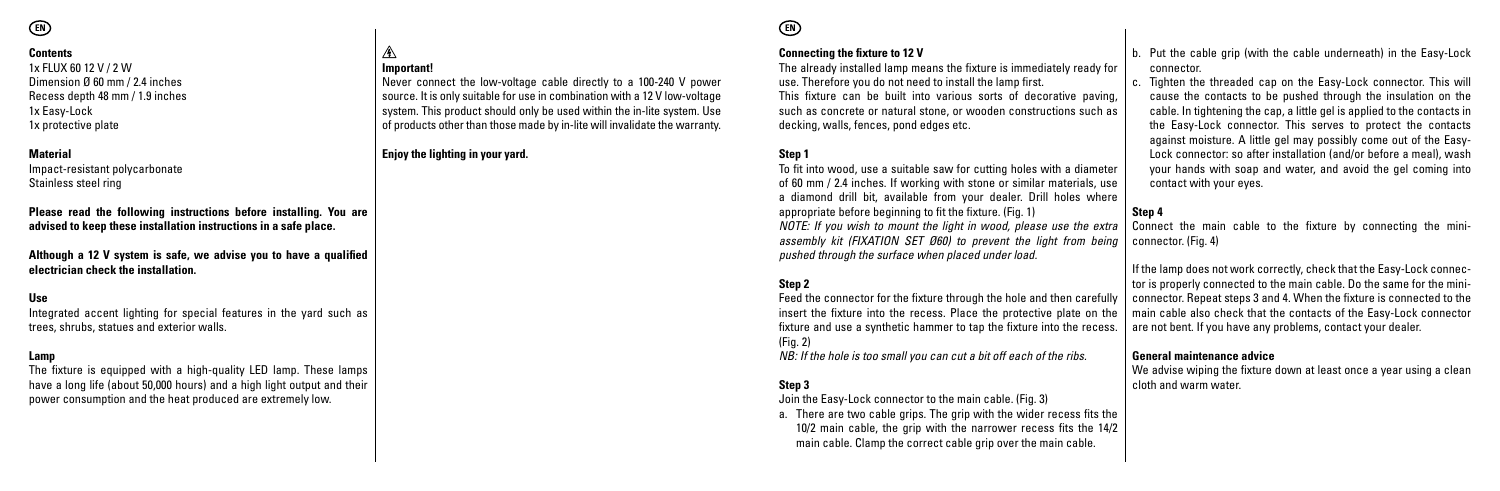#### **Contents**

1x FLUX 60 12 V / 2 W Dimension Ø 60 mm / 2.4 inches Recess depth 48 mm / 1.9 inches 1x Easy-Lock 1x protective plate

#### **Material**

Impact-resistant polycarbonate Stainless steel ring

**Please read the following instructions before installing. You are advised to keep these installation instructions in a safe place.**

**Important!**

A

**Enjoy the lighting in your yard.**

Never connect the low-voltage cable directly to a 100-240 V power source. It is only suitable for use in combination with a 12 V low-voltage system. This product should only be used within the in-lite system. Use of products other than those made by in-lite will invalidate the warranty.

**Although a 12 V system is safe, we advise you to have a qualified electrician check the installation.**

#### **Use**

Integrated accent lighting for special features in the yard such as trees, shrubs, statues and exterior walls.

#### **Lamp**

The fixture is equipped with a high-quality LED lamp. These lamps have a long life (about 50,000 hours) and a high light output and their power consumption and the heat produced are extremely low.

# **EN EN**

#### **Connecting the fixture to 12 V**

The already installed lamp means the fixture is immediately ready for use. Therefore you do not need to install the lamp first. This fixture can be built into various sorts of decorative paving, such as concrete or natural stone, or wooden constructions such as decking, walls, fences, pond edges etc.

#### **Step 1**

To fit into wood, use a suitable saw for cutting holes with a diameter of 60 mm / 2.4 inches. If working with stone or similar materials, use a diamond drill bit, available from your dealer. Drill holes where appropriate before beginning to fit the fixture. (Fig. 1) *NOTE: If you wish to mount the light in wood, please use the extra assembly kit (FIXATION SET Ø60) to prevent the light from being pushed through the surface when placed under load.*

#### **Step 2**

Feed the connector for the fixture through the hole and then carefully insert the fixture into the recess. Place the protective plate on the fixture and use a synthetic hammer to tap the fixture into the recess. (Fig. 2)

*NB: If the hole is too small you can cut a bit off each of the ribs.*

#### **Step 3**

Join the Easy-Lock connector to the main cable. (Fig. 3)

a. There are two cable grips. The grip with the wider recess fits the 10/2 main cable, the grip with the narrower recess fits the 14/2 main cable. Clamp the correct cable grip over the main cable.

- b. Put the cable grip (with the cable underneath) in the Easy-Lock connector.
- c. Tighten the threaded cap on the Easy-Lock connector. This will cause the contacts to be pushed through the insulation on the cable. In tightening the cap, a little gel is applied to the contacts in the Easy-Lock connector. This serves to protect the contacts against moisture. A little gel may possibly come out of the Easy-Lock connector: so after installation (and/or before a meal), wash your hands with soap and water, and avoid the gel coming into contact with your eyes.

#### **Step 4**

Connect the main cable to the fixture by connecting the miniconnector. (Fig. 4)

If the lamp does not work correctly, check that the Easy-Lock connector is properly connected to the main cable. Do the same for the miniconnector. Repeat steps 3 and 4. When the fixture is connected to the main cable also check that the contacts of the Easy-Lock connector are not bent. If you have any problems, contact your dealer.

#### **General maintenance advice**

We advise wiping the fixture down at least once a year using a clean cloth and warm water.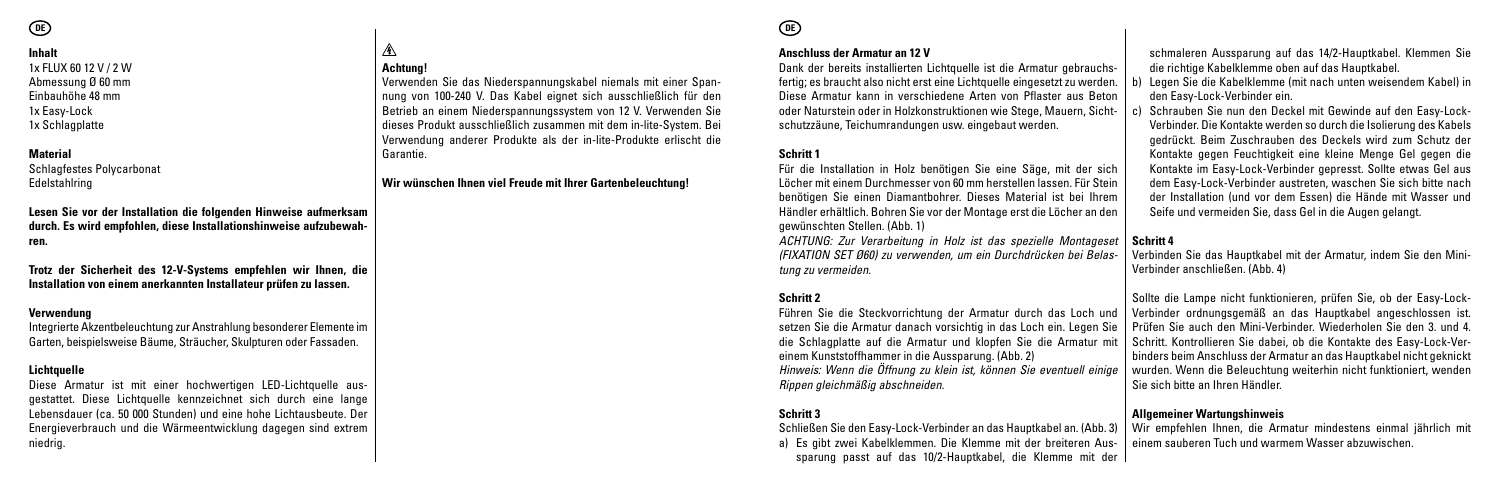#### **Inhalt**

1x FLUX 60 12 V / 2 W Abmessung Ø 60 mm Einbauhöhe 48 mm 1x Easy-Lock 1x Schlagplatte

#### **Material**

Schlagfestes Polycarbonat Edelstahlring

**Lesen Sie vor der Installation die folgenden Hinweise aufmerksam durch. Es wird empfohlen, diese Installationshinweise aufzubewahren.**

**Trotz der Sicherheit des 12-V-Systems empfehlen wir Ihnen, die Installation von einem anerkannten Installateur prüfen zu lassen.**

#### **Verwendung**

Integrierte Akzentbeleuchtung zur Anstrahlung besonderer Elemente im Garten, beispielsweise Bäume, Sträucher, Skulpturen oder Fassaden.

#### **Lichtquelle**

Diese Armatur ist mit einer hochwertigen LED-Lichtquelle ausgestattet. Diese Lichtquelle kennzeichnet sich durch eine lange Lebensdauer (ca. 50 000 Stunden) und eine hohe Lichtausbeute. Der Energieverbrauch und die Wärmeentwicklung dagegen sind extrem niedrig.

#### ⚠ **Achtung!**

Verwenden Sie das Niederspannungskabel niemals mit einer Spannung von 100-240 V. Das Kabel eignet sich ausschließlich für den Betrieb an einem Niederspannungssystem von 12 V. Verwenden Sie dieses Produkt ausschließlich zusammen mit dem in-lite-System. Bei Verwendung anderer Produkte als der in-lite-Produkte erlischt die Garantie.

#### **Wir wünschen Ihnen viel Freude mit Ihrer Gartenbeleuchtung!**

#### **Anschluss der Armatur an 12 V**

Dank der bereits installierten Lichtquelle ist die Armatur gebrauchsfertig; es braucht also nicht erst eine Lichtquelle eingesetzt zu werden. Diese Armatur kann in verschiedene Arten von Pflaster aus Beton oder Naturstein oder in Holzkonstruktionen wie Stege, Mauern, Sichtschutzzäune, Teichumrandungen usw. eingebaut werden.

#### **Schritt 1**

Für die Installation in Holz benötigen Sie eine Säge, mit der sich Löcher mit einem Durchmesser von 60 mm herstellen lassen. Für Stein benötigen Sie einen Diamantbohrer. Dieses Material ist bei Ihrem Händler erhältlich. Bohren Sie vor der Montage erst die Löcher an den gewünschten Stellen. (Abb. 1)

*ACHTUNG: Zur Verarbeitung in Holz ist das spezielle Montageset (FIXATION SET Ø60) zu verwenden, um ein Durchdrücken bei Belastung zu vermeiden.*

#### **Schritt 2**

Führen Sie die Steckvorrichtung der Armatur durch das Loch und setzen Sie die Armatur danach vorsichtig in das Loch ein. Legen Sie die Schlagplatte auf die Armatur und klopfen Sie die Armatur mit einem Kunststoffhammer in die Aussparung. (Abb. 2) *Hinweis: Wenn die Öffnung zu klein ist, können Sie eventuell einige Rippen gleichmäßig abschneiden.*

#### **Schritt 3**

Schließen Sie den Easy-Lock-Verbinder an das Hauptkabel an. (Abb. 3) a) Es gibt zwei Kabelklemmen. Die Klemme mit der breiteren Aussparung passt auf das 10/2-Hauptkabel, die Klemme mit der schmaleren Aussparung auf das 14/2-Hauptkabel. Klemmen Sie die richtige Kabelklemme oben auf das Hauptkabel.

- b) Legen Sie die Kabelklemme (mit nach unten weisendem Kabel) in den Easy-Lock-Verbinder ein.
- c) Schrauben Sie nun den Deckel mit Gewinde auf den Easy-Lock-Verbinder. Die Kontakte werden so durch die Isolierung des Kabels gedrückt. Beim Zuschrauben des Deckels wird zum Schutz der Kontakte gegen Feuchtigkeit eine kleine Menge Gel gegen die Kontakte im Easy-Lock-Verbinder gepresst. Sollte etwas Gel aus dem Easy-Lock-Verbinder austreten, waschen Sie sich bitte nach der Installation (und vor dem Essen) die Hände mit Wasser und Seife und vermeiden Sie, dass Gel in die Augen gelangt.

#### **Schritt 4**

Verbinden Sie das Hauptkabel mit der Armatur, indem Sie den Mini-Verbinder anschließen. (Abb. 4)

Sollte die Lampe nicht funktionieren, prüfen Sie, ob der Easy-Lock-Verbinder ordnungsgemäß an das Hauptkabel angeschlossen ist. Prüfen Sie auch den Mini-Verbinder. Wiederholen Sie den 3. und 4. Schritt. Kontrollieren Sie dabei, ob die Kontakte des Easy-Lock-Verbinders beim Anschluss der Armatur an das Hauptkabel nicht geknickt wurden. Wenn die Beleuchtung weiterhin nicht funktioniert, wenden Sie sich bitte an Ihren Händler.

#### **Allgemeiner Wartungshinweis**

Wir empfehlen Ihnen, die Armatur mindestens einmal jährlich mit einem sauberen Tuch und warmem Wasser abzuwischen.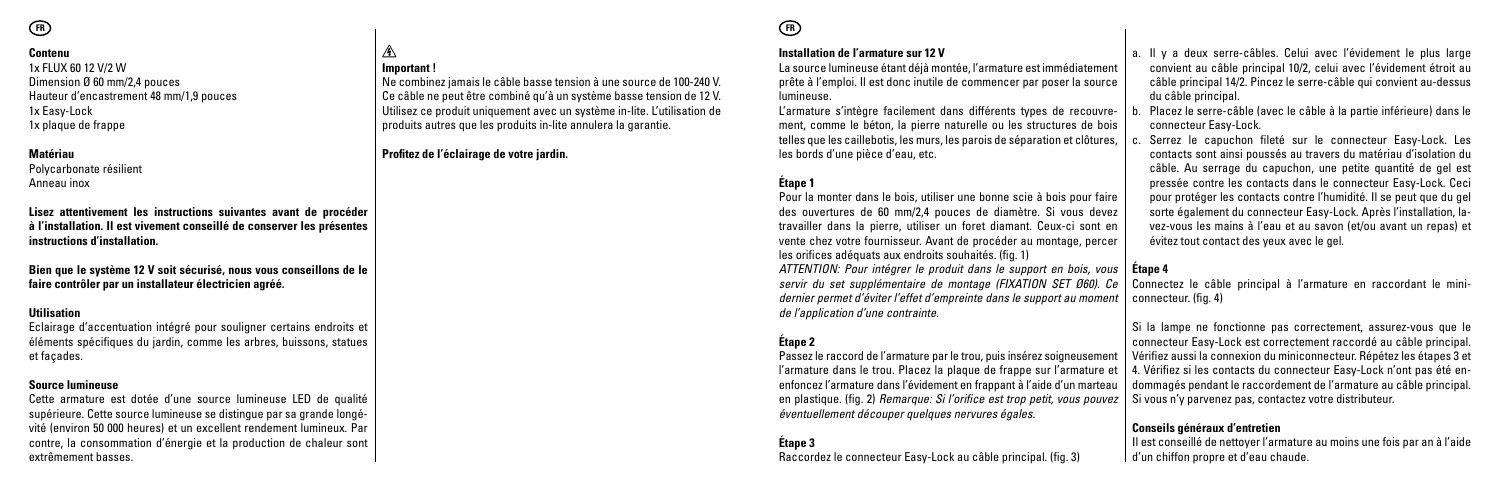#### **Contenu**

1x FLUX 60 12 V/2 W Dimension Ø 60 mm/2,4 pouces Hauteur d'encastrement 48 mm/1,9 pouces 1x Easy-Lock 1x plaque de frappe

#### **Matériau**

Polycarbonate résilient Anneau inox

**Lisez attentivement les instructions suivantes avant de procéder à l'installation. Il est vivement conseillé de conserver les présentes instructions d'installation.**

**Important !**

⚠

**Profitez de l'éclairage de votre jardin.**

Ne combinez jamais le câble basse tension à une source de 100-240 V. Ce câble ne peut être combiné qu'à un système basse tension de 12 V. Utilisez ce produit uniquement avec un système in-lite. L'utilisation de produits autres que les produits in-lite annulera la garantie.

**Bien que le système 12 V soit sécurisé, nous vous conseillons de le faire contrôler par un installateur électricien agréé.**

#### **Utilisation**

Eclairage d'accentuation intégré pour souligner certains endroits et éléments spécifiques du jardin, comme les arbres, buissons, statues et façades.

#### **Source lumineuse**

Cette armature est dotée d'une source lumineuse LED de qualité supérieure. Cette source lumineuse se distingue par sa grande longévité (environ 50 000 heures) et un excellent rendement lumineux. Par contre, la consommation d'énergie et la production de chaleur sont extrêmement basses.

# **FR FR**

#### **Installation de l'armature sur 12 V**

La source lumineuse étant déjà montée, l'armature est immédiatement prête à l'emploi. Il est donc inutile de commencer par poser la source lumineuse.

L'armature s'intègre facilement dans différents types de recouvrement, comme le béton, la pierre naturelle ou les structures de bois telles que les caillebotis, les murs, les parois de séparation et clôtures, les bords d'une pièce d'eau, etc.

#### **Étape 1**

Pour la monter dans le bois, utiliser une bonne scie à bois pour faire des ouvertures de 60 mm/2,4 pouces de diamètre. Si vous devez travailler dans la pierre, utiliser un foret diamant. Ceux-ci sont en vente chez votre fournisseur. Avant de procéder au montage, percer les orifices adéquats aux endroits souhaités. (fig. 1)

*ATTENTION: Pour intégrer le produit dans le support en bois, vous servir du set supplémentaire de montage (FIXATION SET Ø60). Ce dernier permet d'éviter l'effet d'empreinte dans le support au moment de l'application d'une contrainte.*

#### **Étape 2**

Passez le raccord de l'armature par le trou, puis insérez soigneusement l'armature dans le trou. Placez la plaque de frappe sur l'armature et enfoncez l'armature dans l'évidement en frappant à l'aide d'un marteau en plastique. (fig. 2) *Remarque: Si l'orifice est trop petit, vous pouvez éventuellement découper quelques nervures égales.*

**Étape 3** Raccordez le connecteur Easy-Lock au câble principal. (fig. 3)

- a. Il y a deux serre-câbles. Celui avec l'évidement le plus large convient au câble principal 10/2, celui avec l'évidement étroit au câble principal 14/2. Pincez le serre-câble qui convient au-dessus du câble principal.
- b. Placez le serre-câble (avec le câble à la partie inférieure) dans le connecteur Easy-Lock.
- c. Serrez le capuchon fileté sur le connecteur Easy-Lock. Les contacts sont ainsi poussés au travers du matériau d'isolation du câble. Au serrage du capuchon, une petite quantité de gel est pressée contre les contacts dans le connecteur Easy-Lock. Ceci pour protéger les contacts contre l'humidité. Il se peut que du gel sorte également du connecteur Easy-Lock. Après l'installation, lavez-vous les mains à l'eau et au savon (et/ou avant un repas) et évitez tout contact des yeux avec le gel.

#### **Étape 4**

Connectez le câble principal à l'armature en raccordant le miniconnecteur. (fig. 4)

Si la lampe ne fonctionne pas correctement, assurez-vous que le connecteur Easy-Lock est correctement raccordé au câble principal. Vérifiez aussi la connexion du miniconnecteur. Répétez les étapes 3 et 4. Vérifiez si les contacts du connecteur Easy-Lock n'ont pas été endommagés pendant le raccordement de l'armature au câble principal. Si vous n'y parvenez pas, contactez votre distributeur.

#### **Conseils généraux d'entretien**

Il est conseillé de nettoyer l'armature au moins une fois par an à l'aide d'un chiffon propre et d'eau chaude.